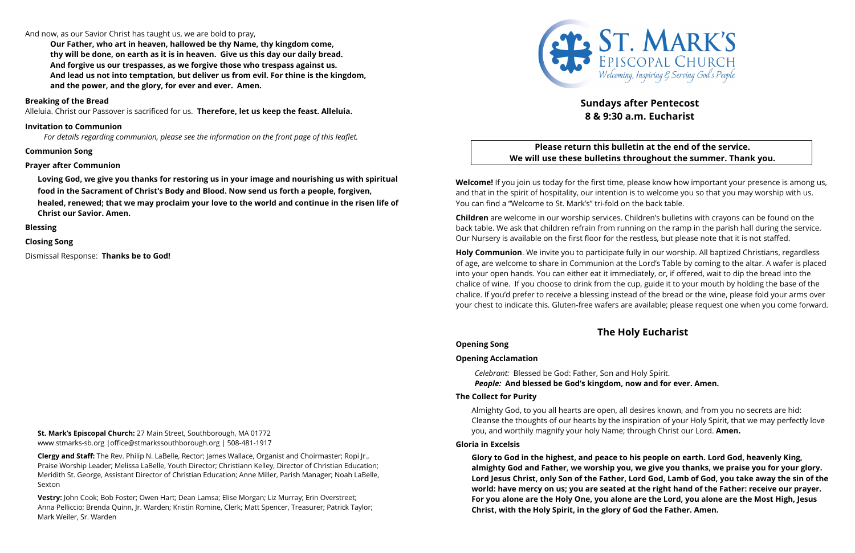### And now, as our Savior Christ has taught us, we are bold to pray,

**Our Father, who art in heaven, hallowed be thy Name, thy kingdom come, thy will be done, on earth as it is in heaven. Give us this day our daily bread. And forgive us our trespasses, as we forgive those who trespass against us. And lead us not into temptation, but deliver us from evil. For thine is the kingdom, and the power, and the glory, for ever and ever. Amen.**

#### **Breaking of the Bread**

Alleluia. Christ our Passover is sacrificed for us. **Therefore, let us keep the feast. Alleluia.**

#### **Invitation to Communion**

*For details regarding communion, please see the information on the front page of this leaflet.*

#### **Communion Song**

#### **Prayer after Communion**

**Loving God, we give you thanks for restoring us in your image and nourishing us with spiritual food in the Sacrament of Christ**!**s Body and Blood. Now send us forth a people, forgiven,**

**healed, renewed; that we may proclaim your love to the world and continue in the risen life of Christ our Savior. Amen.**

**Blessing**

**Closing Song**

Dismissal Response: **Thanks be to God!**

**St. Mark's Episcopal Church:** 27 Main Street, Southborough, MA 01772 www.stmarks-sb.org |office@stmarkssouthborough.org | 508-481-1917

**Clergy and Staff:** The Rev. Philip N. LaBelle, Rector; James Wallace, Organist and Choirmaster; Ropi Jr., Praise Worship Leader; Melissa LaBelle, Youth Director; Christiann Kelley, Director of Christian Education; Meridith St. George, Assistant Director of Christian Education; Anne Miller, Parish Manager; Noah LaBelle, Sexton

**Vestry:** John Cook; Bob Foster; Owen Hart; Dean Lamsa; Elise Morgan; Liz Murray; Erin Overstreet; Anna Pelliccio; Brenda Quinn, Jr. Warden; Kristin Romine, Clerk; Matt Spencer, Treasurer; Patrick Taylor; Mark Weiler, Sr. Warden



# **Sundays after Pentecost 8 & 9:30 a.m. Eucharist**

# **Please return this bulletin at the end of the service. We will use these bulletins throughout the summer. Thank you.**

**Welcome!** If you join us today for the first time, please know how important your presence is among us, and that in the spirit of hospitality, our intention is to welcome you so that you may worship with us. You can find a "Welcome to St. Mark's" tri-fold on the back table.

**Children** are welcome in our worship services. Children's bulletins with crayons can be found on the back table. We ask that children refrain from running on the ramp in the parish hall during the service. Our Nursery is available on the first floor for the restless, but please note that it is not staffed.

**Holy Communion**. We invite you to participate fully in our worship. All baptized Christians, regardless of age, are welcome to share in Communion at the Lord's Table by coming to the altar. A wafer is placed into your open hands. You can either eat it immediately, or, if offered, wait to dip the bread into the chalice of wine. If you choose to drink from the cup, guide it to your mouth by holding the base of the chalice. If you'd prefer to receive a blessing instead of the bread or the wine, please fold your arms over your chest to indicate this. Gluten-free wafers are available; please request one when you come forward.

# **The Holy Eucharist**

**Opening Song** 

#### **Opening Acclamation**

*Celebrant:* Blessed be God: Father, Son and Holy Spirit. *People:* **And blessed be God's kingdom, now and for ever. Amen.**

#### **The Collect for Purity**

Almighty God, to you all hearts are open, all desires known, and from you no secrets are hid: Cleanse the thoughts of our hearts by the inspiration of your Holy Spirit, that we may perfectly love you, and worthily magnify your holy Name; through Christ our Lord. **Amen.**

#### **Gloria in Excelsis**

**Glory to God in the highest, and peace to his people on earth. Lord God, heavenly King, almighty God and Father, we worship you, we give you thanks, we praise you for your glory.** Lord Jesus Christ, only Son of the Father, Lord God, Lamb of God, you take away the sin of the **world: have mercy on us; you are seated at the right hand of the Father: receive our prayer. For you alone are the Holy One, you alone are the Lord, you alone are the Most High, Jesus Christ, with the Holy Spirit, in the glory of God the Father. Amen.**